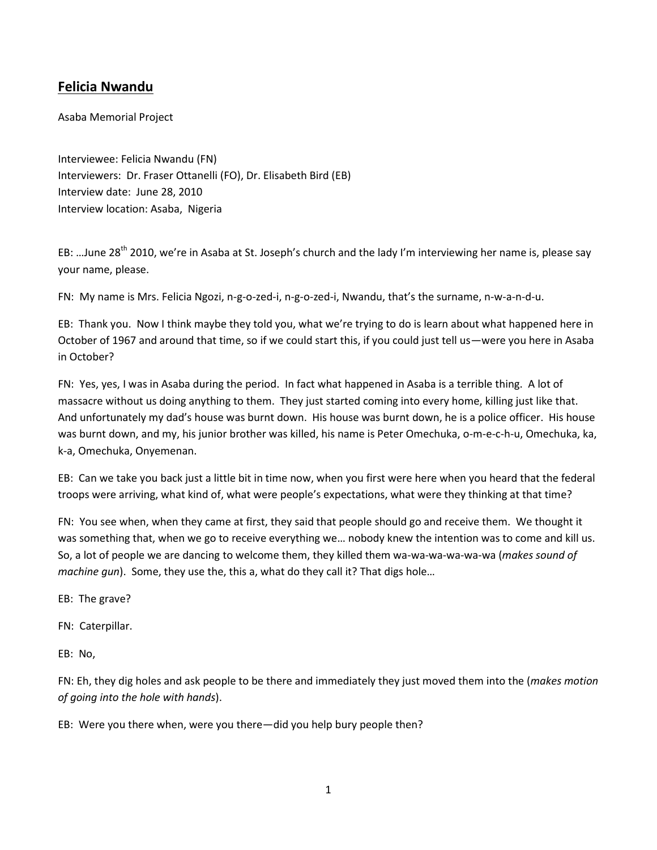## **Felicia Nwandu**

Asaba Memorial Project

Interviewee: Felicia Nwandu (FN) Interviewers: Dr. Fraser Ottanelli (FO), Dr. Elisabeth Bird (EB) Interview date: June 28, 2010 Interview location: Asaba, Nigeria

EB: ...June 28<sup>th</sup> 2010, we're in Asaba at St. Joseph's church and the lady I'm interviewing her name is, please say your name, please.

FN: My name is Mrs. Felicia Ngozi, n-g-o-zed-i, n-g-o-zed-i, Nwandu, that's the surname, n-w-a-n-d-u.

EB: Thank you. Now I think maybe they told you, what we're trying to do is learn about what happened here in October of 1967 and around that time, so if we could start this, if you could just tell us—were you here in Asaba in October?

FN: Yes, yes, I was in Asaba during the period. In fact what happened in Asaba is a terrible thing. A lot of massacre without us doing anything to them. They just started coming into every home, killing just like that. And unfortunately my dad's house was burnt down. His house was burnt down, he is a police officer. His house was burnt down, and my, his junior brother was killed, his name is Peter Omechuka, o-m-e-c-h-u, Omechuka, ka, k-a, Omechuka, Onyemenan.

EB: Can we take you back just a little bit in time now, when you first were here when you heard that the federal troops were arriving, what kind of, what were people's expectations, what were they thinking at that time?

FN: You see when, when they came at first, they said that people should go and receive them. We thought it was something that, when we go to receive everything we… nobody knew the intention was to come and kill us. So, a lot of people we are dancing to welcome them, they killed them wa-wa-wa-wa-wa-wa (*makes sound of machine gun*). Some, they use the, this a, what do they call it? That digs hole…

EB: The grave?

FN: Caterpillar.

EB: No,

FN: Eh, they dig holes and ask people to be there and immediately they just moved them into the (*makes motion of going into the hole with hands*).

EB: Were you there when, were you there—did you help bury people then?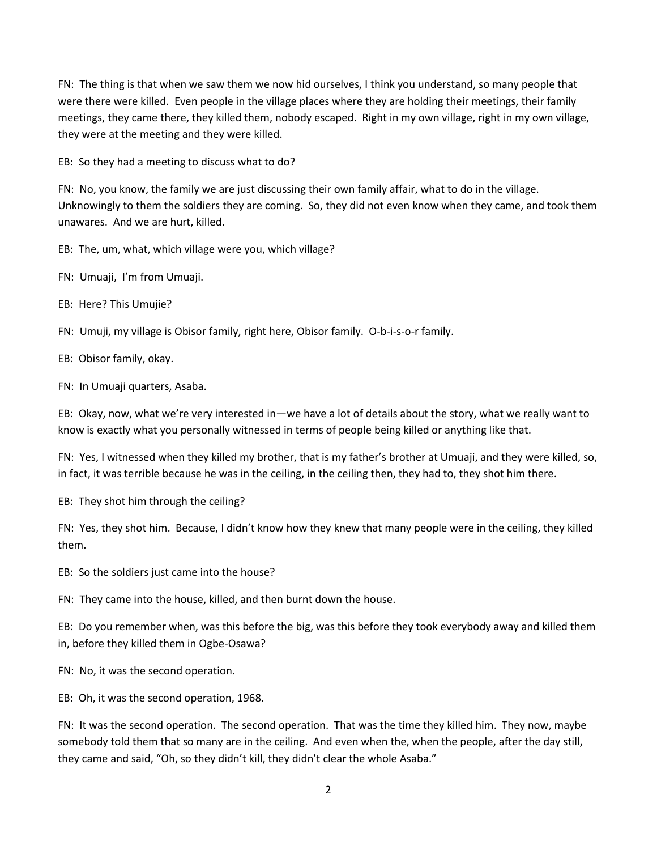FN: The thing is that when we saw them we now hid ourselves, I think you understand, so many people that were there were killed. Even people in the village places where they are holding their meetings, their family meetings, they came there, they killed them, nobody escaped. Right in my own village, right in my own village, they were at the meeting and they were killed.

EB: So they had a meeting to discuss what to do?

FN: No, you know, the family we are just discussing their own family affair, what to do in the village. Unknowingly to them the soldiers they are coming. So, they did not even know when they came, and took them unawares. And we are hurt, killed.

EB: The, um, what, which village were you, which village?

FN: Umuaji, I'm from Umuaji.

EB: Here? This Umujie?

FN: Umuji, my village is Obisor family, right here, Obisor family. O-b-i-s-o-r family.

EB: Obisor family, okay.

FN: In Umuaji quarters, Asaba.

EB: Okay, now, what we're very interested in—we have a lot of details about the story, what we really want to know is exactly what you personally witnessed in terms of people being killed or anything like that.

FN: Yes, I witnessed when they killed my brother, that is my father's brother at Umuaji, and they were killed, so, in fact, it was terrible because he was in the ceiling, in the ceiling then, they had to, they shot him there.

EB: They shot him through the ceiling?

FN: Yes, they shot him. Because, I didn't know how they knew that many people were in the ceiling, they killed them.

EB: So the soldiers just came into the house?

FN: They came into the house, killed, and then burnt down the house.

EB: Do you remember when, was this before the big, was this before they took everybody away and killed them in, before they killed them in Ogbe-Osawa?

FN: No, it was the second operation.

EB: Oh, it was the second operation, 1968.

FN: It was the second operation. The second operation. That was the time they killed him. They now, maybe somebody told them that so many are in the ceiling. And even when the, when the people, after the day still, they came and said, "Oh, so they didn't kill, they didn't clear the whole Asaba."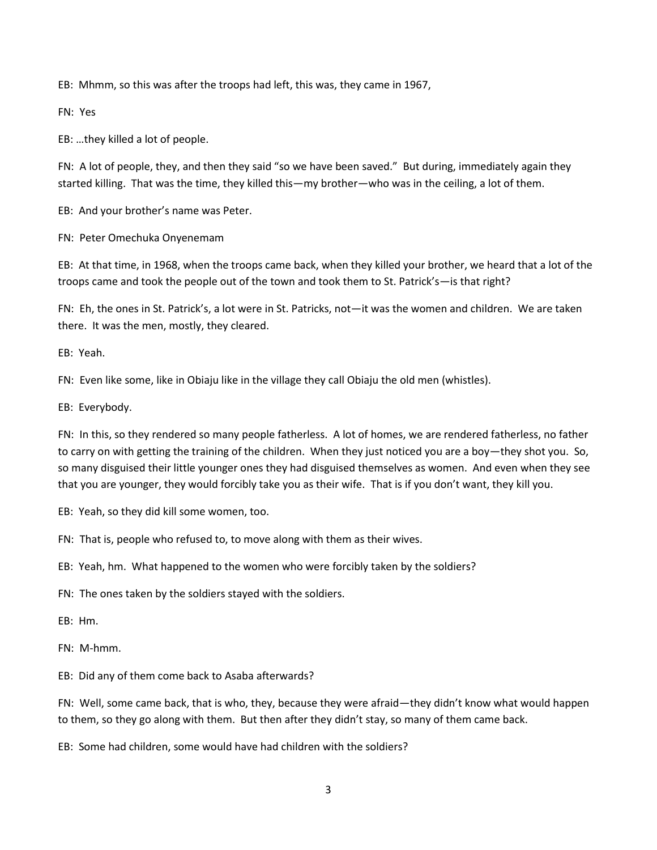EB: Mhmm, so this was after the troops had left, this was, they came in 1967,

FN: Yes

EB: …they killed a lot of people.

FN: A lot of people, they, and then they said "so we have been saved." But during, immediately again they started killing. That was the time, they killed this—my brother—who was in the ceiling, a lot of them.

EB: And your brother's name was Peter.

FN: Peter Omechuka Onyenemam

EB: At that time, in 1968, when the troops came back, when they killed your brother, we heard that a lot of the troops came and took the people out of the town and took them to St. Patrick's—is that right?

FN: Eh, the ones in St. Patrick's, a lot were in St. Patricks, not—it was the women and children. We are taken there. It was the men, mostly, they cleared.

EB: Yeah.

FN: Even like some, like in Obiaju like in the village they call Obiaju the old men (whistles).

EB: Everybody.

FN: In this, so they rendered so many people fatherless. A lot of homes, we are rendered fatherless, no father to carry on with getting the training of the children. When they just noticed you are a boy—they shot you. So, so many disguised their little younger ones they had disguised themselves as women. And even when they see that you are younger, they would forcibly take you as their wife. That is if you don't want, they kill you.

EB: Yeah, so they did kill some women, too.

FN: That is, people who refused to, to move along with them as their wives.

EB: Yeah, hm. What happened to the women who were forcibly taken by the soldiers?

FN: The ones taken by the soldiers stayed with the soldiers.

EB: Hm.

FN: M-hmm.

EB: Did any of them come back to Asaba afterwards?

FN: Well, some came back, that is who, they, because they were afraid—they didn't know what would happen to them, so they go along with them. But then after they didn't stay, so many of them came back.

EB: Some had children, some would have had children with the soldiers?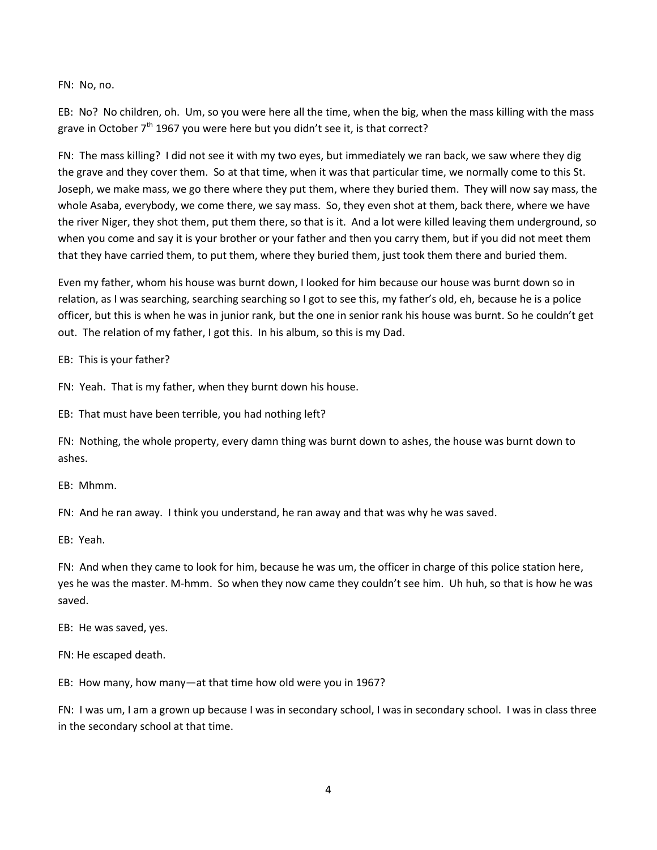FN: No, no.

EB: No? No children, oh. Um, so you were here all the time, when the big, when the mass killing with the mass grave in October  $7<sup>th</sup>$  1967 you were here but you didn't see it, is that correct?

FN: The mass killing? I did not see it with my two eyes, but immediately we ran back, we saw where they dig the grave and they cover them. So at that time, when it was that particular time, we normally come to this St. Joseph, we make mass, we go there where they put them, where they buried them. They will now say mass, the whole Asaba, everybody, we come there, we say mass. So, they even shot at them, back there, where we have the river Niger, they shot them, put them there, so that is it. And a lot were killed leaving them underground, so when you come and say it is your brother or your father and then you carry them, but if you did not meet them that they have carried them, to put them, where they buried them, just took them there and buried them.

Even my father, whom his house was burnt down, I looked for him because our house was burnt down so in relation, as I was searching, searching searching so I got to see this, my father's old, eh, because he is a police officer, but this is when he was in junior rank, but the one in senior rank his house was burnt. So he couldn't get out. The relation of my father, I got this. In his album, so this is my Dad.

EB: This is your father?

FN: Yeah. That is my father, when they burnt down his house.

EB: That must have been terrible, you had nothing left?

FN: Nothing, the whole property, every damn thing was burnt down to ashes, the house was burnt down to ashes.

EB: Mhmm.

FN: And he ran away. I think you understand, he ran away and that was why he was saved.

EB: Yeah.

FN: And when they came to look for him, because he was um, the officer in charge of this police station here, yes he was the master. M-hmm. So when they now came they couldn't see him. Uh huh, so that is how he was saved.

EB: He was saved, yes.

FN: He escaped death.

EB: How many, how many—at that time how old were you in 1967?

FN: I was um, I am a grown up because I was in secondary school, I was in secondary school. I was in class three in the secondary school at that time.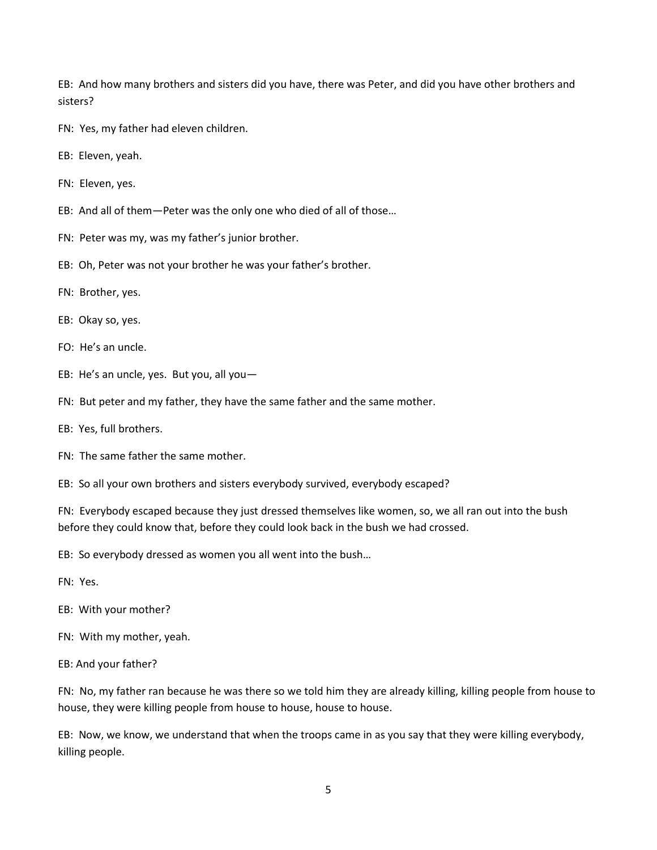EB: And how many brothers and sisters did you have, there was Peter, and did you have other brothers and sisters?

FN: Yes, my father had eleven children.

- EB: Eleven, yeah.
- FN: Eleven, yes.
- EB: And all of them—Peter was the only one who died of all of those…
- FN: Peter was my, was my father's junior brother.
- EB: Oh, Peter was not your brother he was your father's brother.
- FN: Brother, yes.
- EB: Okay so, yes.
- FO: He's an uncle.
- EB: He's an uncle, yes. But you, all you—
- FN: But peter and my father, they have the same father and the same mother.
- EB: Yes, full brothers.
- FN: The same father the same mother.

EB: So all your own brothers and sisters everybody survived, everybody escaped?

FN: Everybody escaped because they just dressed themselves like women, so, we all ran out into the bush before they could know that, before they could look back in the bush we had crossed.

EB: So everybody dressed as women you all went into the bush…

- FN: Yes.
- EB: With your mother?
- FN: With my mother, yeah.
- EB: And your father?

FN: No, my father ran because he was there so we told him they are already killing, killing people from house to house, they were killing people from house to house, house to house.

EB: Now, we know, we understand that when the troops came in as you say that they were killing everybody, killing people.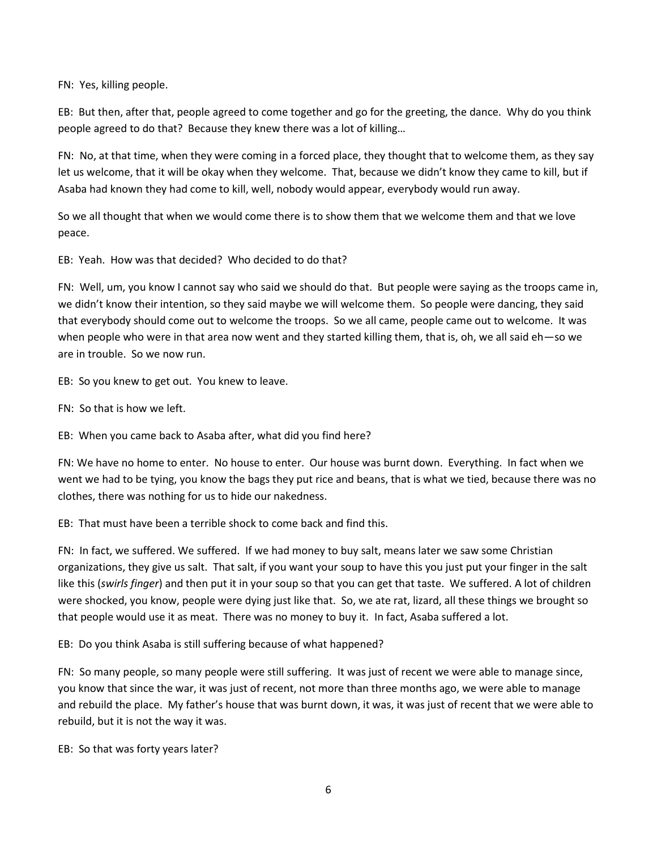FN: Yes, killing people.

EB: But then, after that, people agreed to come together and go for the greeting, the dance. Why do you think people agreed to do that? Because they knew there was a lot of killing…

FN: No, at that time, when they were coming in a forced place, they thought that to welcome them, as they say let us welcome, that it will be okay when they welcome. That, because we didn't know they came to kill, but if Asaba had known they had come to kill, well, nobody would appear, everybody would run away.

So we all thought that when we would come there is to show them that we welcome them and that we love peace.

EB: Yeah. How was that decided? Who decided to do that?

FN: Well, um, you know I cannot say who said we should do that. But people were saying as the troops came in, we didn't know their intention, so they said maybe we will welcome them. So people were dancing, they said that everybody should come out to welcome the troops. So we all came, people came out to welcome. It was when people who were in that area now went and they started killing them, that is, oh, we all said eh—so we are in trouble. So we now run.

EB: So you knew to get out. You knew to leave.

FN: So that is how we left.

EB: When you came back to Asaba after, what did you find here?

FN: We have no home to enter. No house to enter. Our house was burnt down. Everything. In fact when we went we had to be tying, you know the bags they put rice and beans, that is what we tied, because there was no clothes, there was nothing for us to hide our nakedness.

EB: That must have been a terrible shock to come back and find this.

FN: In fact, we suffered. We suffered. If we had money to buy salt, means later we saw some Christian organizations, they give us salt. That salt, if you want your soup to have this you just put your finger in the salt like this (*swirls finger*) and then put it in your soup so that you can get that taste. We suffered. A lot of children were shocked, you know, people were dying just like that. So, we ate rat, lizard, all these things we brought so that people would use it as meat. There was no money to buy it. In fact, Asaba suffered a lot.

EB: Do you think Asaba is still suffering because of what happened?

FN: So many people, so many people were still suffering. It was just of recent we were able to manage since, you know that since the war, it was just of recent, not more than three months ago, we were able to manage and rebuild the place. My father's house that was burnt down, it was, it was just of recent that we were able to rebuild, but it is not the way it was.

EB: So that was forty years later?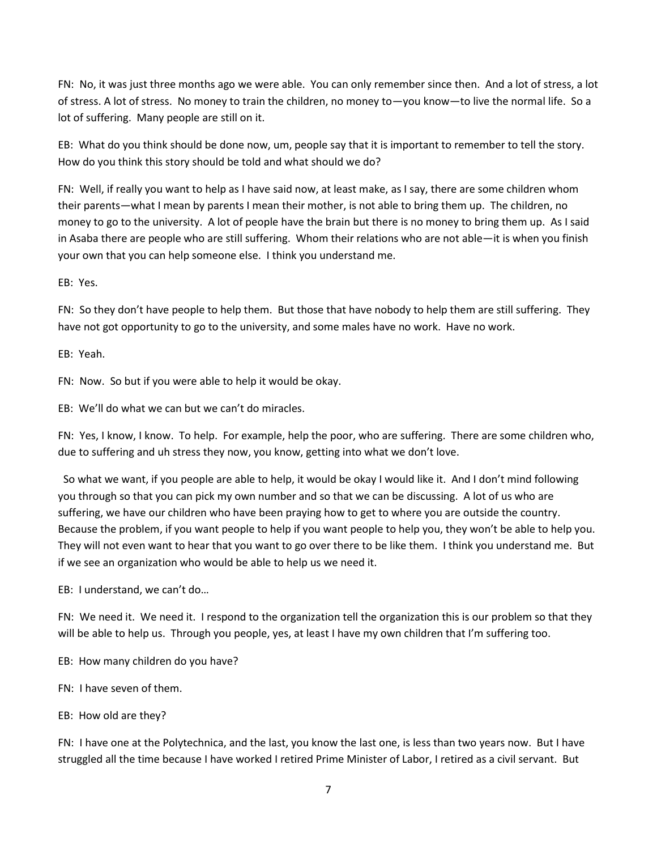FN: No, it was just three months ago we were able. You can only remember since then. And a lot of stress, a lot of stress. A lot of stress. No money to train the children, no money to—you know—to live the normal life. So a lot of suffering. Many people are still on it.

EB: What do you think should be done now, um, people say that it is important to remember to tell the story. How do you think this story should be told and what should we do?

FN: Well, if really you want to help as I have said now, at least make, as I say, there are some children whom their parents—what I mean by parents I mean their mother, is not able to bring them up. The children, no money to go to the university. A lot of people have the brain but there is no money to bring them up. As I said in Asaba there are people who are still suffering. Whom their relations who are not able—it is when you finish your own that you can help someone else. I think you understand me.

EB: Yes.

FN: So they don't have people to help them. But those that have nobody to help them are still suffering. They have not got opportunity to go to the university, and some males have no work. Have no work.

EB: Yeah.

FN: Now. So but if you were able to help it would be okay.

EB: We'll do what we can but we can't do miracles.

FN: Yes, I know, I know. To help. For example, help the poor, who are suffering. There are some children who, due to suffering and uh stress they now, you know, getting into what we don't love.

 So what we want, if you people are able to help, it would be okay I would like it. And I don't mind following you through so that you can pick my own number and so that we can be discussing. A lot of us who are suffering, we have our children who have been praying how to get to where you are outside the country. Because the problem, if you want people to help if you want people to help you, they won't be able to help you. They will not even want to hear that you want to go over there to be like them. I think you understand me. But if we see an organization who would be able to help us we need it.

EB: I understand, we can't do…

FN: We need it. We need it. I respond to the organization tell the organization this is our problem so that they will be able to help us. Through you people, yes, at least I have my own children that I'm suffering too.

EB: How many children do you have?

FN: I have seven of them.

EB: How old are they?

FN: I have one at the Polytechnica, and the last, you know the last one, is less than two years now. But I have struggled all the time because I have worked I retired Prime Minister of Labor, I retired as a civil servant. But